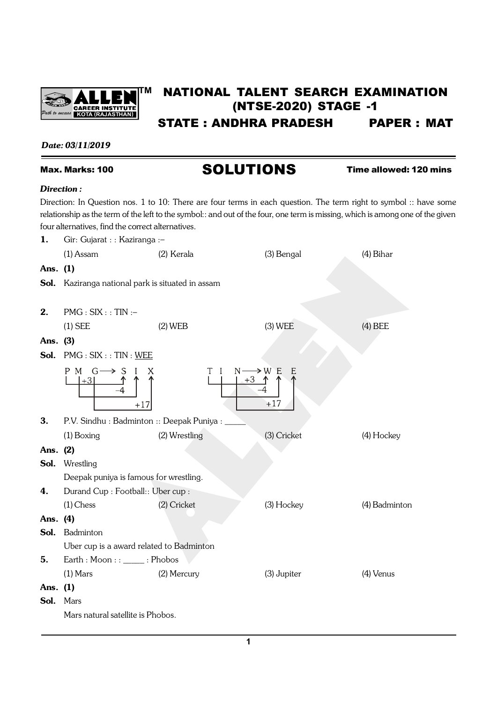

# **TM** NATIONAL TALENT SEARCH EXAMINATION (NTSE-2020) STAGE -1 STATE : ANDHRA PRADESH PAPER : MAT

# *Date: 03/11/2019*

# Max. Marks: 100 **SOLUTIONS** Time allowed: 120 mins

#### *Direction :*

Direction: In Question nos. 1 to 10: There are four terms in each question. The term right to symbol :: have some relationship as the term of the left to the symbol:: and out of the four, one term is missing, which is among one of the given four alternatives, find the correct alternatives.

| 1.       | Gir: Gujarat : : Kaziranga :-                            |                                                              |             |               |
|----------|----------------------------------------------------------|--------------------------------------------------------------|-------------|---------------|
|          | $(1)$ Assam                                              | (2) Kerala                                                   | (3) Bengal  | (4) Bihar     |
| Ans. (1) |                                                          |                                                              |             |               |
|          | <b>Sol.</b> Kaziranga national park is situated in assam |                                                              |             |               |
|          |                                                          |                                                              |             |               |
| 2.       | $PMG: SIX :: TIN :-$                                     |                                                              |             |               |
|          | $(1)$ SEE                                                | $(2)$ WEB                                                    | $(3)$ WEE   | $(4)$ BEE     |
| Ans. (3) |                                                          |                                                              |             |               |
| Sol.     | PMG : SIX :: TIN : <u>WEE</u>                            |                                                              |             |               |
|          | $P M G \longrightarrow S I$<br>$+17$                     | $N \longrightarrow W E$<br>$+3$ $\uparrow$ $\uparrow$<br>T I | E<br>$+17$  |               |
| 3.       | P.V. Sindhu: Badminton: Deepak Puniya: _                 |                                                              |             |               |
|          | $(1)$ Boxing                                             | (2) Wrestling                                                | (3) Cricket | (4) Hockey    |
| Ans. (2) |                                                          |                                                              |             |               |
| Sol.     | Wrestling                                                |                                                              |             |               |
|          | Deepak puniya is famous for wrestling.                   |                                                              |             |               |
| 4.       | Durand Cup: Football:: Uber cup:                         |                                                              |             |               |
|          | $(1)$ Chess                                              | (2) Cricket                                                  | (3) Hockey  | (4) Badminton |
| Ans. (4) |                                                          |                                                              |             |               |
|          | Sol. Badminton                                           |                                                              |             |               |
|          | Uber cup is a award related to Badminton                 |                                                              |             |               |
| 5.       | Earth : Moon : : _____ : Phobos                          |                                                              |             |               |
|          | $(1)$ Mars                                               | (2) Mercury                                                  | (3) Jupiter | (4) Venus     |
| Ans. (1) |                                                          |                                                              |             |               |
| Sol.     | Mars                                                     |                                                              |             |               |
|          | Mars natural satellite is Phobos.                        |                                                              |             |               |
|          |                                                          |                                                              |             |               |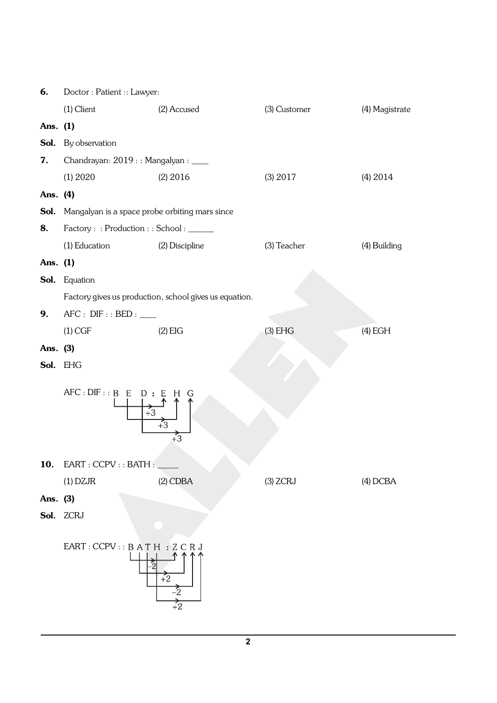| 6.       | Doctor: Patient: Lawyer:                                                                |                                                           |              |                |  |
|----------|-----------------------------------------------------------------------------------------|-----------------------------------------------------------|--------------|----------------|--|
|          | $(1)$ Client                                                                            | (2) Accused                                               | (3) Customer | (4) Magistrate |  |
| Ans. (1) |                                                                                         |                                                           |              |                |  |
|          | <b>Sol.</b> By observation                                                              |                                                           |              |                |  |
| 7.       | Chandrayan: 2019 : : Mangalyan : ____                                                   |                                                           |              |                |  |
|          | (1) 2020                                                                                | $(2)$ 2016                                                | (3) 2017     | $(4)$ 2014     |  |
| Ans. (4) |                                                                                         |                                                           |              |                |  |
|          | <b>Sol.</b> Mangalyan is a space probe orbiting mars since                              |                                                           |              |                |  |
| 8.       | Factory : : Production : : School : _____                                               |                                                           |              |                |  |
|          | (1) Education                                                                           | (2) Discipline                                            | (3) Teacher  | (4) Building   |  |
| Ans. (1) |                                                                                         |                                                           |              |                |  |
|          | Sol. Equation                                                                           |                                                           |              |                |  |
|          |                                                                                         | Factory gives us production, school gives us equation.    |              |                |  |
| 9.       | AFC: DIFF::BED:                                                                         |                                                           |              |                |  |
|          | $(1)$ CGF                                                                               | $(2)$ EIG                                                 | $(3)$ EHG    | $(4)$ EGH      |  |
| Ans. (3) |                                                                                         |                                                           |              |                |  |
|          | Sol. EHG                                                                                |                                                           |              |                |  |
|          | AFC: DIFF::B E D : E<br>H<br>G<br>$\overline{+3}$<br>$\overline{+3}$<br>$\overline{+3}$ |                                                           |              |                |  |
| 10.      | EART : CCPV : : BATH :                                                                  |                                                           |              |                |  |
|          | $(1)$ DZJR                                                                              | $(2)$ CDBA                                                | $(3)$ ZCRJ   | $(4)$ DCBA     |  |
| Ans. (3) |                                                                                         |                                                           |              |                |  |
|          | Sol. ZCRJ                                                                               |                                                           |              |                |  |
|          |                                                                                         |                                                           |              |                |  |
|          | EART : CCPV :: BATH : ZCRJ                                                              | $\overline{+2}$<br>$\frac{1}{2}$<br>$\overrightarrow{+2}$ |              |                |  |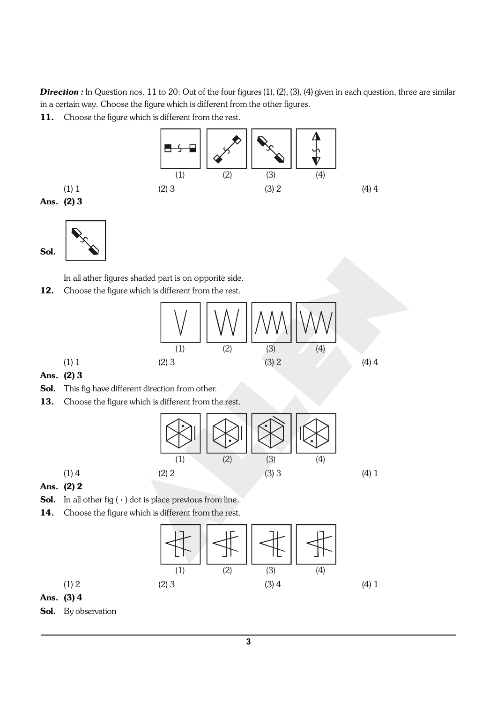**Direction :** In Question nos. 11 to 20: Out of the four figures (1), (2), (3), (4) given in each question, three are similar in a certain way. Choose the figure which is different from the other figures.

11. Choose the figure which is different from the rest.



Ans. (2) 
$$
3
$$

Sol.



In all ather figures shaded part is on opporite side.

12. Choose the figure which is different from the rest.

$$
(1) 1
$$
\n
$$
(2) 3
$$
\n
$$
(3) 2
$$
\n
$$
(4) 4
$$
\n
$$
(5) 1
$$
\n
$$
(6) 1
$$
\n
$$
(7) 1
$$
\n
$$
(8) 2
$$
\n
$$
(9) 2
$$
\n
$$
(1) 1
$$
\n
$$
(2) 3
$$
\n
$$
(3) 2
$$
\n
$$
(4) 4
$$

- Ans. (2) 3
- Sol. This fig have different direction from other.
- 13. Choose the figure which is different from the rest.



- Ans. (2) 2
- **Sol.** In all other fig  $(\cdot)$  dot is place previous from line.
- 14. Choose the figure which is different from the rest.



Ans. (3) 4

Sol. By observation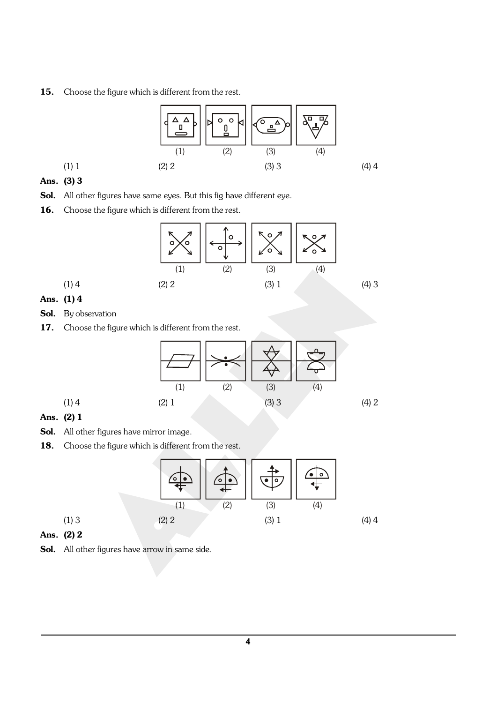15. Choose the figure which is different from the rest.



# Ans. (3) 3

- Sol. All other figures have same eyes. But this fig have different eye.
- 16. Choose the figure which is different from the rest.



# Ans. (1) 4

- Sol. By observation
- 17. Choose the figure which is different from the rest.



## Ans. (2) 1

- Sol. All other figures have mirror image.
- 18. Choose the figure which is different from the rest.



### Ans. (2) 2

Sol. All other figures have arrow in same side.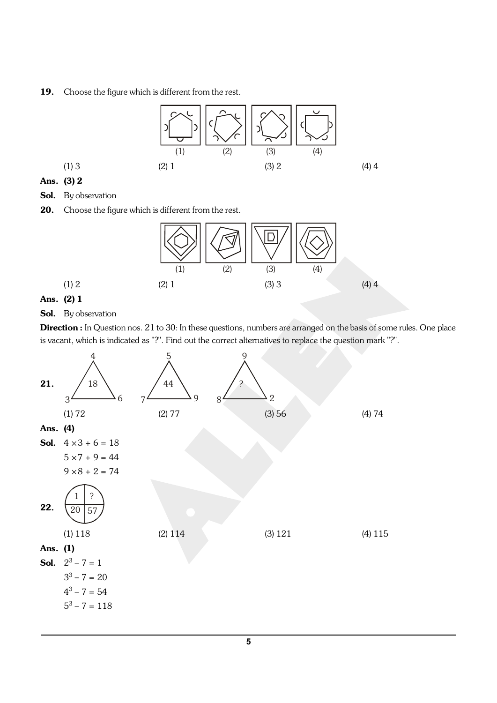#### 19. Choose the figure which is different from the rest.



#### Ans. (3) 2

- Sol. By observation
- 20. Choose the figure which is different from the rest.



### Ans. (2) 1

#### Sol. By observation

Direction : In Question nos. 21 to 30: In these questions, numbers are arranged on the basis of some rules. One place is vacant, which is indicated as "?". Find out the correct alternatives to replace the question mark "?".

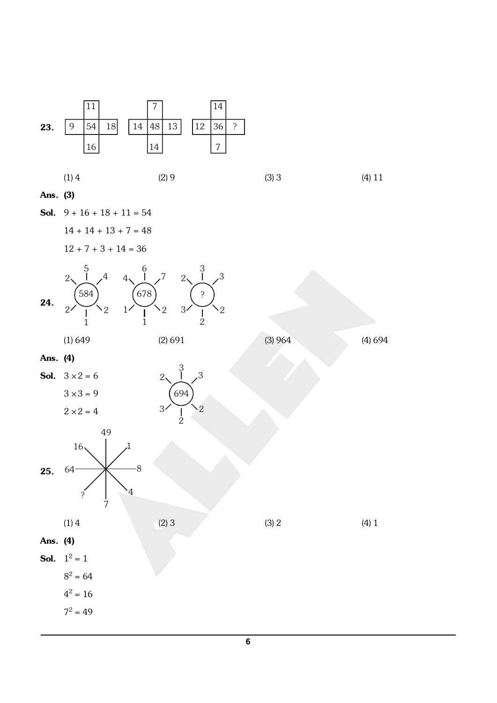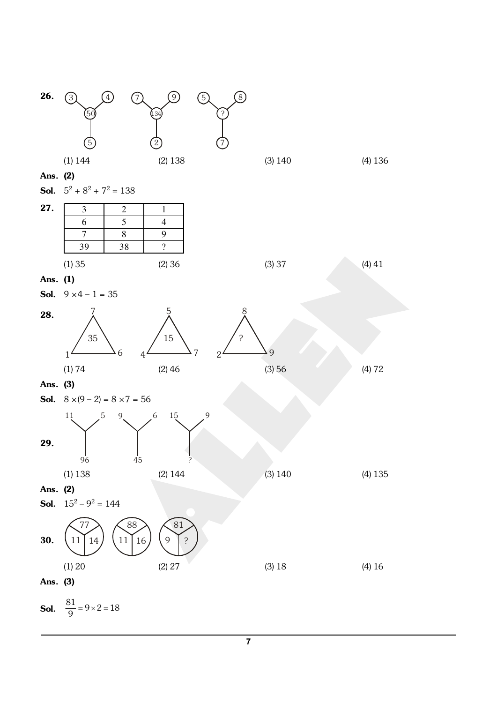

**7**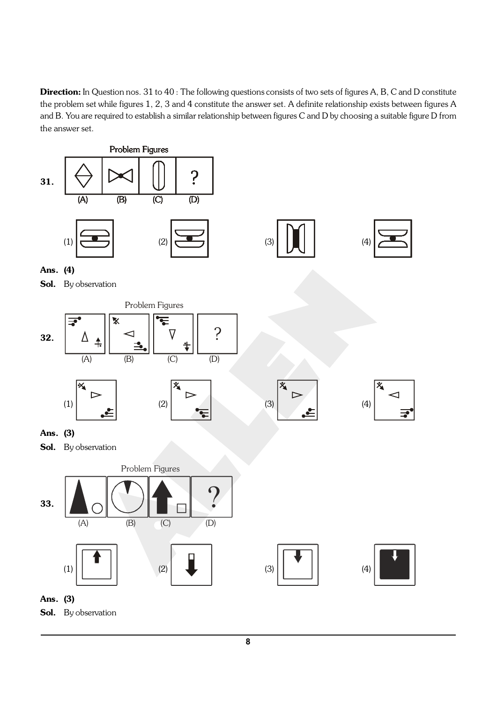Direction: In Question nos. 31 to 40: The following questions consists of two sets of figures A, B, C and D constitute the problem set while figures 1, 2, 3 and 4 constitute the answer set. A definite relationship exists between figures A and B. You are required to establish a similar relationship between figures C and D by choosing a suitable figure D from the answer set.

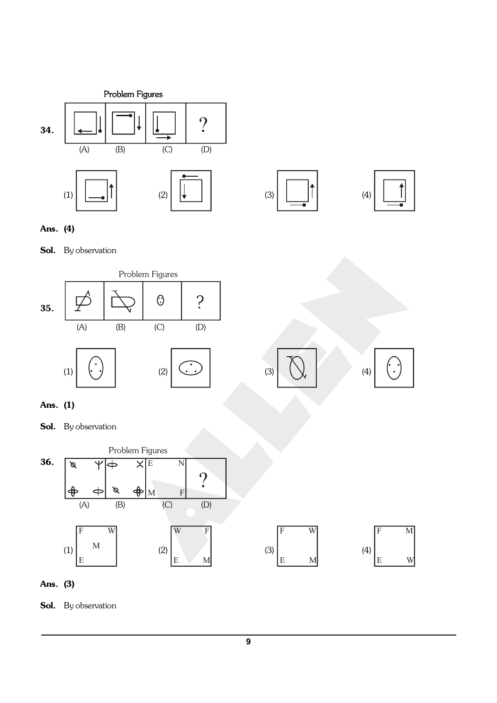



 $\ddot{\phantom{0}}$ 

Ans. (4)

Sol. By observation





Sol. By observation



Ans. (3)

Sol. By observation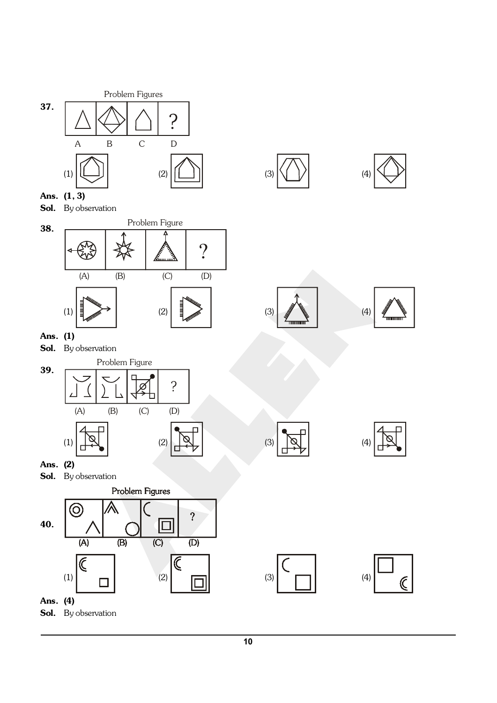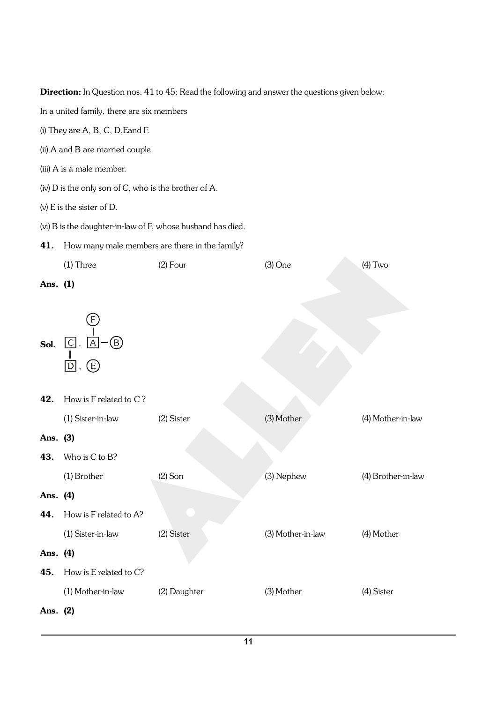Direction: In Question nos. 41 to 45: Read the following and answer the questions given below:

In a united family, there are six members

- (i) They are A, B, C, D,Eand F.
- (ii) A and B are married couple
- (iii) A is a male member.
- (iv) D is the only son of C, who is the brother of A.
- (v) E is the sister of D.
- (vi) B is the daughter-in-law of F, whose husband has died.
- 41. How many male members are there in the family?

|          | $(1)$ Three                                                       | $(2)$ Four   | $(3)$ One         | $(4)$ Two          |
|----------|-------------------------------------------------------------------|--------------|-------------------|--------------------|
| Ans. (1) |                                                                   |              |                   |                    |
| Sol.     | $[\mathsf{F}]$<br>$\circledB$<br>$\overline{C}$<br> A <br>Œ)<br>D |              |                   |                    |
| 42.      | How is F related to C?                                            |              |                   |                    |
|          | (1) Sister-in-law                                                 | (2) Sister   | (3) Mother        | (4) Mother-in-law  |
| Ans. (3) |                                                                   |              |                   |                    |
| 43.      | Who is C to B?                                                    |              |                   |                    |
|          | (1) Brother                                                       | $(2)$ Son    | (3) Nephew        | (4) Brother-in-law |
| Ans. (4) |                                                                   |              |                   |                    |
| 44.      | How is F related to A?                                            |              |                   |                    |
|          | (1) Sister-in-law                                                 | (2) Sister   | (3) Mother-in-law | (4) Mother         |
| Ans. (4) |                                                                   |              |                   |                    |
| 45.      | How is E related to C?                                            |              |                   |                    |
|          | (1) Mother-in-law                                                 | (2) Daughter | (3) Mother        | (4) Sister         |
| Ans. (2) |                                                                   |              |                   |                    |
|          |                                                                   |              |                   |                    |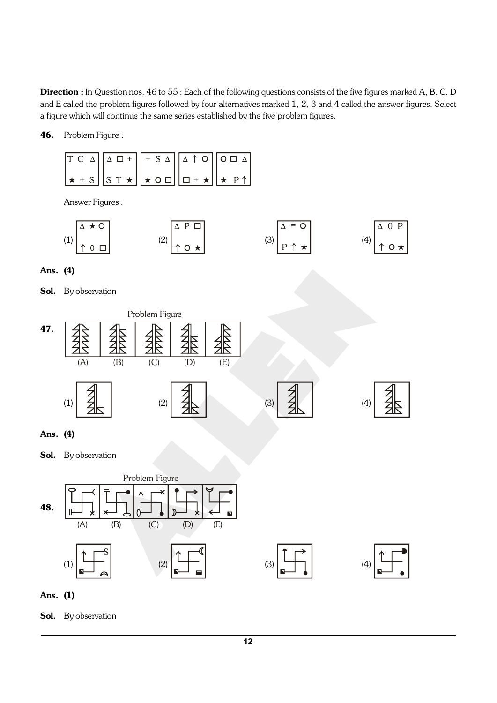Direction : In Question nos. 46 to 55 : Each of the following questions consists of the five figures marked A, B, C, D and E called the problem figures followed by four alternatives marked 1, 2, 3 and 4 called the answer figures. Select a figure which will continue the same series established by the five problem figures.

46. Problem Figure :

| $T C \triangle \boxed{\triangle \Box + \Big  + S \triangle} \boxed{\triangle \uparrow \circ \Big[ \circ \Box \triangle \Big]}$                                                   |  |  |
|----------------------------------------------------------------------------------------------------------------------------------------------------------------------------------|--|--|
| $\left  \star \cdot s \right  \left  s \cdot \star \right  \left  \star \circ \square \right  \left  \square + \star \right  \left  \star \cdot \triangleright \uparrow \right $ |  |  |

Answer Figures :

$$
(1) \begin{array}{|c|c|c|c|}\n\hline\n\wedge \star & 0 \\
\uparrow & 0 & \Box\n\end{array}
$$
\n
$$
(2) \begin{array}{|c|c|c|}\n\hline\n\wedge & P & \Box \\
\uparrow & 0 & \star\n\end{array}
$$
\n
$$
(3) \begin{array}{|c|c|c|}\n\hline\n\wedge & = & 0 \\
\hline\nP & \uparrow & \star\n\end{array}
$$
\n
$$
(4) \begin{array}{|c|c|}\n\hline\n\wedge & 0 & P \\
\uparrow & 0 & \star\n\end{array}
$$

Ans. (4)

Sol. By observation



Ans. (4)

Sol. By observation



Ans. (1)

Sol. By observation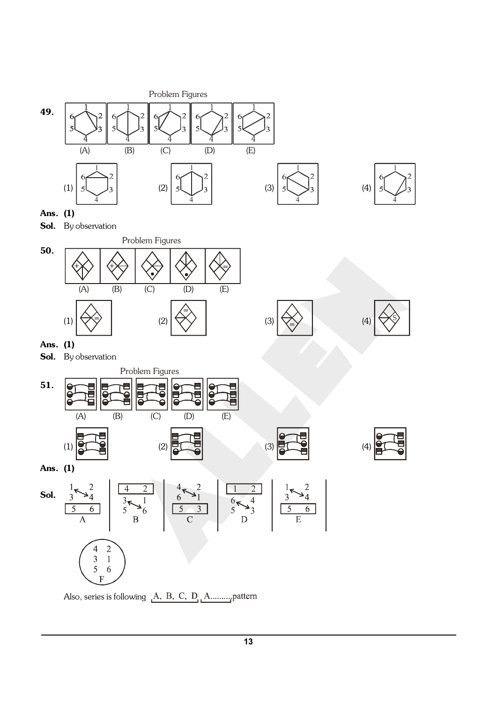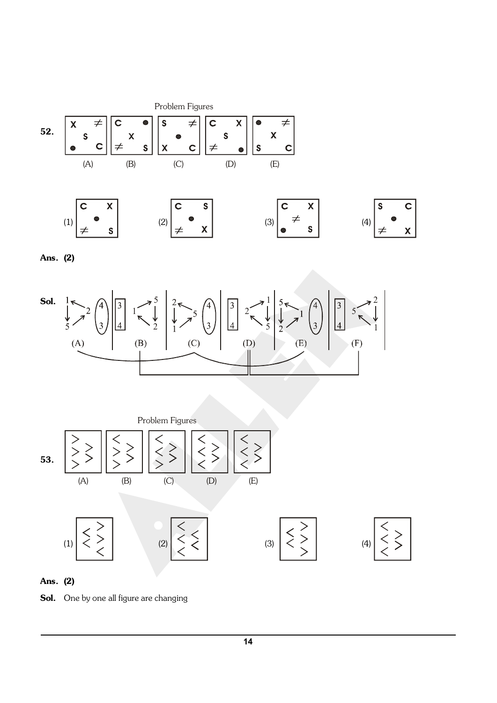

Ans. (2)





Ans. (2)

Sol. One by one all figure are changing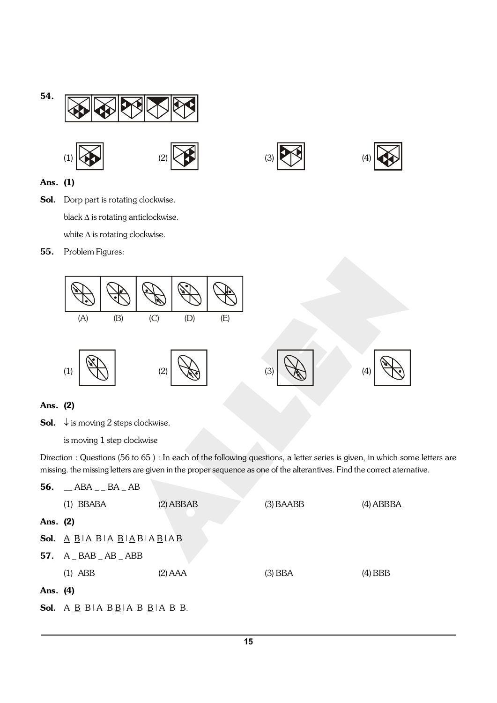





# Ans. (1)

Sol. Dorp part is rotating clockwise. black  $\Delta$  is rotating anticlockwise. white  $\Delta$  is rotating clockwise.

55. Problem Figures:



# Ans. (2)

**Sol.**  $\downarrow$  is moving 2 steps clockwise.

is moving 1 step clockwise

Direction : Questions (56 to 65 ) : In each of the following questions, a letter series is given, in which some letters are missing. the missing letters are given in the proper sequence as one of the alterantives. Find the correct aternative.

|          | 56. $\_\$ ABA $\_\$ BA $\_\$ AB                                                                               |             |             |             |
|----------|---------------------------------------------------------------------------------------------------------------|-------------|-------------|-------------|
|          | $(1)$ BBABA                                                                                                   | $(2)$ ABBAB | $(3)$ BAABB | $(4)$ ABBBA |
| Ans. (2) |                                                                                                               |             |             |             |
|          | <b>Sol.</b> $\underline{A}$ $\underline{B}$  A B A $\underline{B}$   $\underline{A}$ B A $\underline{B}$  A B |             |             |             |
|          | 57. $A$ BAB $-$ AB $-$ ABB                                                                                    |             |             |             |
|          | $(1)$ ABB                                                                                                     | $(2)$ AAA   | $(3)$ BBA   | $(4)$ BBB   |
| Ans. (4) |                                                                                                               |             |             |             |
|          | <b>Sol.</b> A $\underline{B}$ B   A $\underline{B}$ <u>B</u>   A $\underline{B}$   A $\underline{B}$ B.       |             |             |             |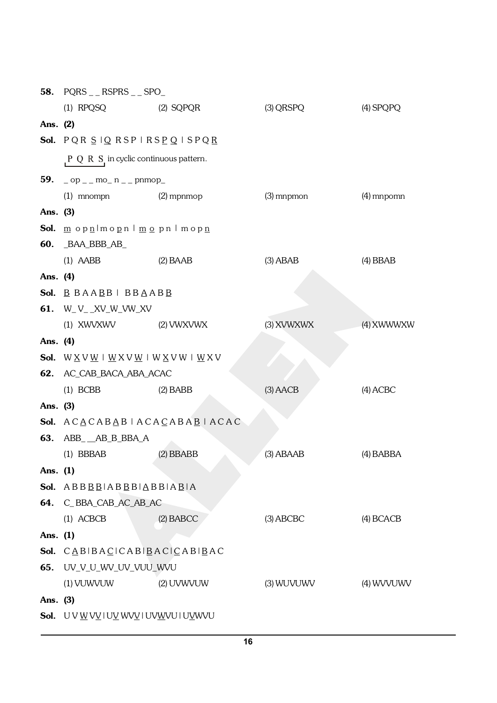|          | 58. $PQRS_{--}RSPRS_{--}SPO_{-}$                                                           |             |              |             |  |  |
|----------|--------------------------------------------------------------------------------------------|-------------|--------------|-------------|--|--|
|          | (1) RPQSQ (2) SQPQR                                                                        |             | (3) QRSPQ    | $(4)$ SPQPQ |  |  |
| Ans. (2) |                                                                                            |             |              |             |  |  |
|          | Sol. PQR SIQ RSPIRSPQISPQR                                                                 |             |              |             |  |  |
|          | $P Q R S$ in cyclic continuous pattern.                                                    |             |              |             |  |  |
|          | <b>59.</b> $\log_{10} p_{\text{max}} = 5$ mo_n $\log_{10} p_{\text{max}}$                  |             |              |             |  |  |
|          | $(1)$ mnompn $(2)$ mpnmop                                                                  |             | $(3)$ mnpmon | (4) mnpomn  |  |  |
| Ans. (3) |                                                                                            |             |              |             |  |  |
|          | Sol. <u>m opn</u> lmo <u>p</u> nlm <u>o</u> pnlmop <u>n</u>                                |             |              |             |  |  |
|          | <b>60.</b> BAA_BBB_AB_                                                                     |             |              |             |  |  |
|          | $(1)$ AABB<br>$(2)$ BAAB                                                                   |             | $(3)$ ABAB   | $(4)$ BBAB  |  |  |
| Ans. (4) |                                                                                            |             |              |             |  |  |
|          | <b>Sol.</b> $\underline{B}$ $BAABB$ $\vdash BBAABB$                                        |             |              |             |  |  |
|          | <b>61.</b> W_V__XV_W_VW_XV                                                                 |             |              |             |  |  |
|          | (1) XWVXWV (2) VWXVWX                                                                      |             | (3) XVWXWX   | (4) XWWWXW  |  |  |
| Ans. (4) |                                                                                            |             |              |             |  |  |
|          | <b>Sol.</b> $W \times V \times W + W \times V \times W + W \times V \times W + W \times V$ |             |              |             |  |  |
|          | 62. AC_CAB_BACA_ABA_ACAC                                                                   |             |              |             |  |  |
|          | $(1)$ BCBB                                                                                 | $(2)$ BABB  | $(3)$ AACB   | $(4)$ ACBC  |  |  |
| Ans. (3) |                                                                                            |             |              |             |  |  |
|          | Sol. $ACACABAB ACACABAB ACAC$                                                              |             |              |             |  |  |
|          | <b>63.</b> ABB AB B BBA A                                                                  |             |              |             |  |  |
|          | $(1)$ BBBAB                                                                                | $(2)$ BBABB | $(3)$ ABAAB  | $(4)$ BABBA |  |  |
| Ans. (1) |                                                                                            |             |              |             |  |  |
|          | <b>Sol.</b> $ABBBB ABBB ABB AB AB$                                                         |             |              |             |  |  |
|          | 64. C_BBA_CAB_AC_AB_AC                                                                     |             |              |             |  |  |
|          | $(1)$ ACBCB                                                                                | $(2)$ BABCC | $(3)$ ABCBC  | $(4)$ BCACB |  |  |
| Ans. (1) |                                                                                            |             |              |             |  |  |
|          | Sol. CABIBACICABIBACICABIBAC                                                               |             |              |             |  |  |
| 65.      | UV_V_U_WV_UV_VUU_WVU                                                                       |             |              |             |  |  |
|          | (1) VUWVUW                                                                                 | (2) UVWVUW  | (3) WUVUWV   | (4) WVVUWV  |  |  |
| Ans. (3) |                                                                                            |             |              |             |  |  |
|          | Sol. UVWVVIUVWVIUVWVUIUVWVU                                                                |             |              |             |  |  |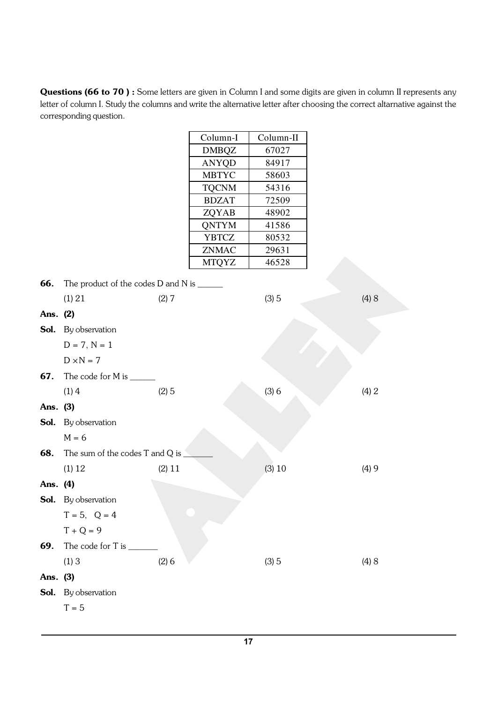Questions (66 to 70) : Some letters are given in Column I and some digits are given in column II represents any letter of column I. Study the columns and write the alternative letter after choosing the correct altarnative against the corresponding question.

|          |                                           |        | Column-I     | Column-II |       |
|----------|-------------------------------------------|--------|--------------|-----------|-------|
|          |                                           |        | <b>DMBQZ</b> | 67027     |       |
|          |                                           |        | ANYQD        | 84917     |       |
|          |                                           |        | <b>MBTYC</b> | 58603     |       |
|          |                                           |        | <b>TQCNM</b> | 54316     |       |
|          |                                           |        | <b>BDZAT</b> | 72509     |       |
|          |                                           |        | ZQYAB        | 48902     |       |
|          |                                           |        | QNTYM        | 41586     |       |
|          |                                           |        | <b>YBTCZ</b> | 80532     |       |
|          |                                           |        | ZNMAC        | 29631     |       |
|          |                                           |        | <b>MTQYZ</b> | 46528     |       |
| 66.      | The product of the codes D and N is _____ |        |              |           |       |
|          | (1) 21                                    | (2) 7  |              | (3)5      | (4) 8 |
| Ans.     | (2)                                       |        |              |           |       |
|          | Sol. By observation                       |        |              |           |       |
|          | $D = 7, N = 1$                            |        |              |           |       |
|          | $D \times N = 7$                          |        |              |           |       |
| 67.      | The code for M is $\_\_$                  |        |              |           |       |
|          | (1)4                                      | (2)5   |              | (3)6      | (4) 2 |
| Ans. (3) |                                           |        |              |           |       |
|          | <b>Sol.</b> By observation                |        |              |           |       |
|          | $M = 6$                                   |        |              |           |       |
| 68.      | The sum of the codes T and Q is           |        |              |           |       |
|          | (1) 12                                    | (2) 11 |              | (3) 10    | (4)9  |
| Ans. (4) |                                           |        |              |           |       |
|          | <b>Sol.</b> By observation                |        |              |           |       |
|          | $T = 5, Q = 4$                            |        |              |           |       |
|          | $\rm T + Q = 9$                           |        |              |           |       |
| 69.      |                                           |        |              |           |       |
|          | $(1)$ 3                                   | (2)6   |              | (3)5      | (4) 8 |
| Ans. (3) |                                           |        |              |           |       |
|          | Sol. By observation                       |        |              |           |       |
|          | $T = 5$                                   |        |              |           |       |
|          |                                           |        |              |           |       |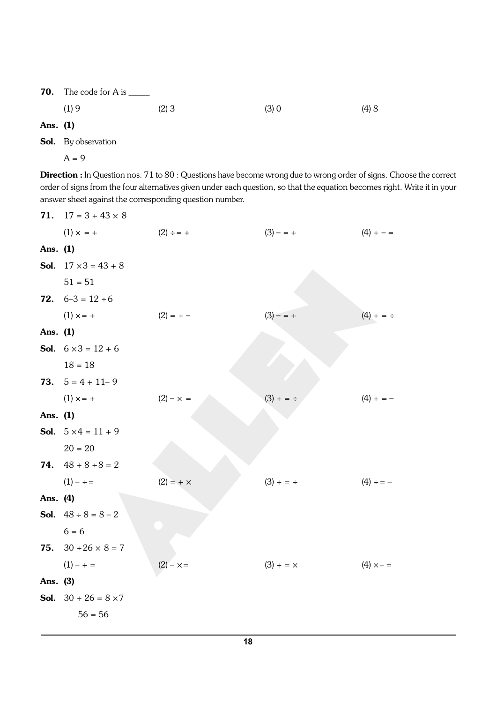**70.** The code for A is  $\_\_\_\_\_\_\_\_\_\$ 

(1) 9 (2) 3 (3) 0 (4) 8

Ans. (1)

Sol. By observation

 $A = 9$ 

Direction : In Question nos. 71 to 80 : Questions have become wrong due to wrong order of signs. Choose the correct order of signs from the four alternatives given under each question, so that the equation becomes right. Write it in your answer sheet against the corresponding question number.

| 71.      | $17 = 3 + 43 \times 8$             |                  |                  |                  |
|----------|------------------------------------|------------------|------------------|------------------|
|          | $(1) \times = +$                   | $(2) \div = +$   | $(3) - = +$      | $(4) + - =$      |
| Ans. (1) |                                    |                  |                  |                  |
|          | <b>Sol.</b> $17 \times 3 = 43 + 8$ |                  |                  |                  |
|          | $51 = 51$                          |                  |                  |                  |
|          | <b>72.</b> $6-3 = 12 \div 6$       |                  |                  |                  |
|          | $(1) \times = +$                   | $(2) = + -$      | $(3) - = +$      | $(4) + = \div$   |
| Ans. (1) |                                    |                  |                  |                  |
|          | <b>Sol.</b> $6 \times 3 = 12 + 6$  |                  |                  |                  |
|          | $18 = 18$                          |                  |                  |                  |
|          | <b>73.</b> $5 = 4 + 11 - 9$        |                  |                  |                  |
|          | $(1) \times = +$                   | $(2) - x =$      | $(3) + = \div$   | $(4) + = -$      |
| Ans. (1) |                                    |                  |                  |                  |
|          | <b>Sol.</b> $5 \times 4 = 11 + 9$  |                  |                  |                  |
|          | $20 = 20$                          |                  |                  |                  |
|          | <b>74.</b> $48 + 8 \div 8 = 2$     |                  |                  |                  |
|          | $(1) - \div =$                     | $(2) = + \times$ | $(3) + = \div$   | $(4) \div = -$   |
| Ans. (4) |                                    |                  |                  |                  |
|          | <b>Sol.</b> $48 \div 8 = 8 - 2$    |                  |                  |                  |
|          | $6 = 6$                            |                  |                  |                  |
| 75.      | $30 \div 26 \times 8 = 7$          |                  |                  |                  |
|          | $(1) - + =$                        | $(2) - x =$      | $(3) + = \times$ | $(4) \times - =$ |
| Ans. (3) |                                    |                  |                  |                  |
|          | <b>Sol.</b> $30 + 26 = 8 \times 7$ |                  |                  |                  |
|          | $56 = 56$                          |                  |                  |                  |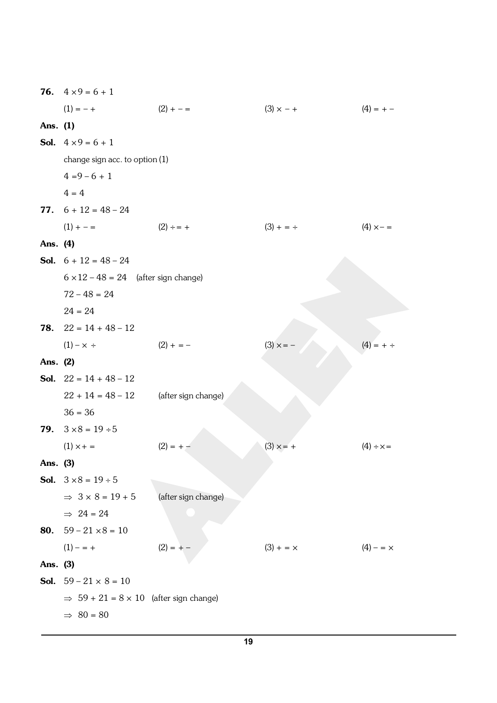|            | <b>76.</b> $4 \times 9 = 6 + 1$                    |                     |                  |                  |
|------------|----------------------------------------------------|---------------------|------------------|------------------|
|            | $(1) = - +$                                        | $(2) + - =$         | $(3) \times - +$ | $(4) = + -$      |
| Ans. (1)   |                                                    |                     |                  |                  |
|            | <b>Sol.</b> $4 \times 9 = 6 + 1$                   |                     |                  |                  |
|            | change sign acc. to option (1)                     |                     |                  |                  |
|            | $4 = 9 - 6 + 1$                                    |                     |                  |                  |
|            | $4 = 4$                                            |                     |                  |                  |
|            | 77. $6 + 12 = 48 - 24$                             |                     |                  |                  |
|            | $(1) + - =$                                        | $(2) \div = +$      | $(3) + = \div$   | $(4) \times - =$ |
| Ans. (4)   |                                                    |                     |                  |                  |
|            | <b>Sol.</b> $6 + 12 = 48 - 24$                     |                     |                  |                  |
|            | $6 \times 12 - 48 = 24$ (after sign change)        |                     |                  |                  |
|            | $72 - 48 = 24$                                     |                     |                  |                  |
|            | $24 = 24$                                          |                     |                  |                  |
| 78.        | $22 = 14 + 48 - 12$                                |                     |                  |                  |
|            | $(1) - x \div$                                     | $(2) + = -$         | $(3) \times = -$ | $(4) = + \div$   |
| Ans. (2)   |                                                    |                     |                  |                  |
|            | <b>Sol.</b> $22 = 14 + 48 - 12$                    |                     |                  |                  |
|            | $22 + 14 = 48 - 12$                                | (after sign change) |                  |                  |
|            | $36 = 36$                                          |                     |                  |                  |
|            | <b>79.</b> $3 \times 8 = 19 \div 5$                |                     |                  |                  |
|            | $(1) \times + =$                                   | $(2) = + -$         | $(3) \times = +$ | $(4) \div x =$   |
| Ans. $(3)$ |                                                    |                     |                  |                  |
|            | <b>Sol.</b> $3 \times 8 = 19 \div 5$               |                     |                  |                  |
|            | $\Rightarrow$ 3 x 8 = 19 + 5                       | (after sign change) |                  |                  |
|            | $\Rightarrow$ 24 = 24                              |                     |                  |                  |
|            | <b>80.</b> $59 - 21 \times 8 = 10$                 |                     |                  |                  |
|            | $(1) - = +$                                        | $(2) = + -$         | $(3) + = \times$ | $(4) - = \times$ |
| Ans. (3)   |                                                    |                     |                  |                  |
|            | <b>Sol.</b> $59 - 21 \times 8 = 10$                |                     |                  |                  |
|            | $\Rightarrow$ 59 + 21 = 8 × 10 (after sign change) |                     |                  |                  |
|            | $\Rightarrow$ 80 = 80                              |                     |                  |                  |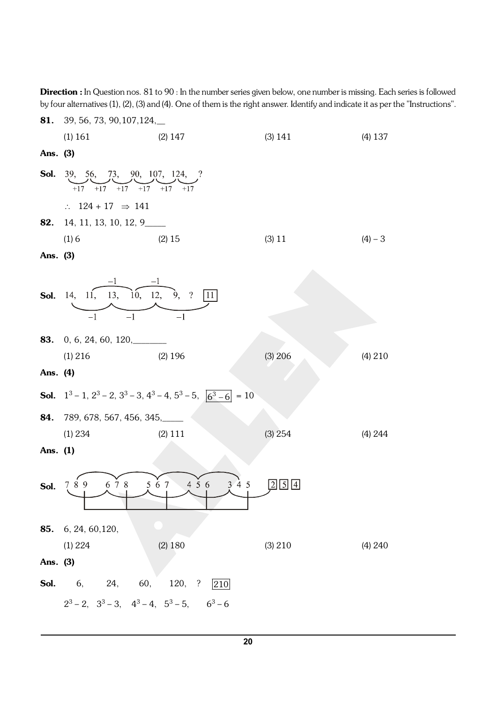Direction : In Question nos. 81 to 90 : In the number series given below, one number is missing. Each series is followed by four alternatives (1), (2), (3) and (4). One of them is the right answer. Identify and indicate it as per the "Instructions".

|          | <b>81.</b> 39, 56, 73, 90, 107, 124,                                           |                                                                                                |           |           |  |
|----------|--------------------------------------------------------------------------------|------------------------------------------------------------------------------------------------|-----------|-----------|--|
|          | $(2)$ 147<br>$(1)$ 161                                                         |                                                                                                | (3) 141   | $(4)$ 137 |  |
| Ans. (3) |                                                                                |                                                                                                |           |           |  |
|          | <b>Sol.</b> 39, 56, 73, 90, 107, 124, ?<br>$+17$ $+17$ $+17$ $+17$ $+17$ $+17$ |                                                                                                |           |           |  |
|          | $\therefore$ 124 + 17 $\Rightarrow$ 141                                        |                                                                                                |           |           |  |
|          | <b>82.</b> 14, 11, 13, 10, 12, 9______                                         |                                                                                                |           |           |  |
|          | (1)6                                                                           | $(2)$ 15                                                                                       | $(3)$ 11  | $(4) - 3$ |  |
| Ans. (3) |                                                                                |                                                                                                |           |           |  |
| Sol.     | $\overbrace{14, 11, 13, 10, 12, 9, ?}^{1}$                                     | 11 <br>$\overline{-1}$                                                                         |           |           |  |
|          |                                                                                |                                                                                                |           |           |  |
|          | $(1)$ 216                                                                      | $(2)$ 196                                                                                      | $(3)$ 206 | (4) 210   |  |
| Ans. (4) |                                                                                |                                                                                                |           |           |  |
|          |                                                                                | <b>Sol.</b> $1^3 - 1$ , $2^3 - 2$ , $3^3 - 3$ , $4^3 - 4$ , $5^3 - 5$ , $\boxed{6^3 - 6} = 10$ |           |           |  |
| 84.      | 789, 678, 567, 456, 345,                                                       |                                                                                                |           |           |  |
|          | (1) 234                                                                        | $(2)$ 111                                                                                      | (3) 254   | (4) 244   |  |
| Ans. (1) |                                                                                |                                                                                                |           |           |  |
| Sol.     | 789<br>678                                                                     | 456<br>567<br>3'4'5                                                                            | 5114      |           |  |
|          | 85. 6, 24, 60, 120,                                                            |                                                                                                |           |           |  |
|          | (1) 224                                                                        | $(2)$ 180                                                                                      | (3) 210   | (4) 240   |  |
| Ans. (3) |                                                                                |                                                                                                |           |           |  |
|          | <b>Sol.</b> 6, 24, 60, 120, ?                                                  | 210                                                                                            |           |           |  |
|          | $2^3 - 2$ , $3^3 - 3$ , $4^3 - 4$ , $5^3 - 5$ , $6^3 - 6$                      |                                                                                                |           |           |  |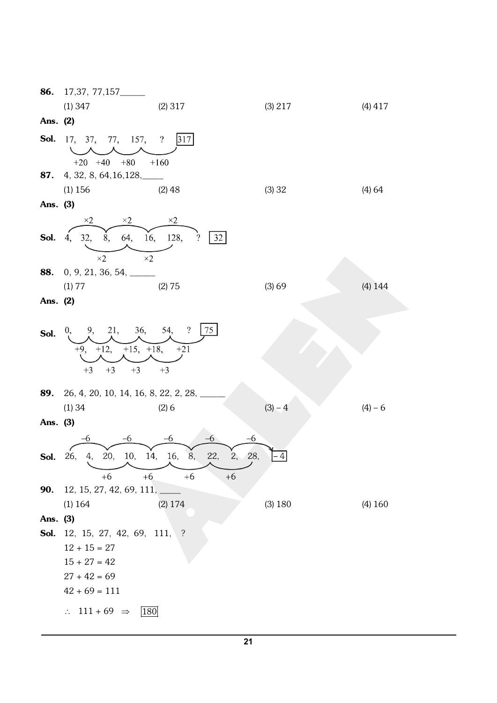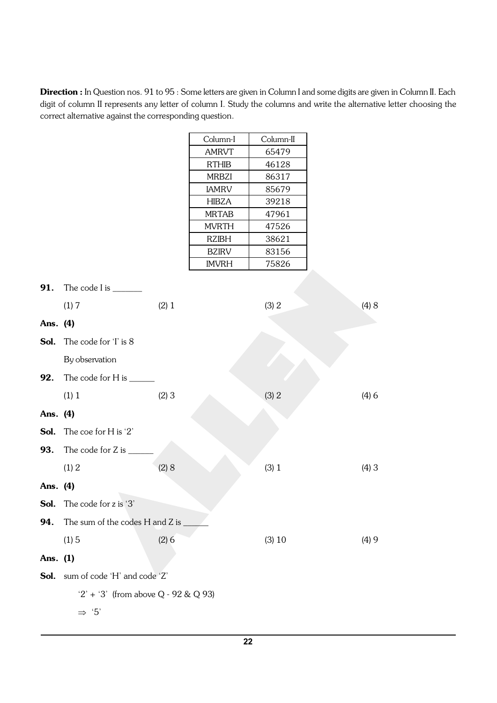Direction : In Question nos. 91 to 95 : Some letters are given in Column I and some digits are given in Column II. Each digit of column II represents any letter of column I. Study the columns and write the alternative letter choosing the correct alternative against the corresponding question.

|          |                                      |       | Column-I                     | Column-II      |       |
|----------|--------------------------------------|-------|------------------------------|----------------|-------|
|          |                                      |       | <b>AMRVT</b>                 | 65479          |       |
|          |                                      |       | <b>RTHIB</b>                 | 46128          |       |
|          |                                      |       | <b>MRBZI</b>                 | 86317          |       |
|          |                                      |       | <b>IAMRV</b>                 | 85679          |       |
|          |                                      |       | <b>HIBZA</b>                 | 39218          |       |
|          |                                      |       | <b>MRTAB</b>                 | 47961          |       |
|          |                                      |       | <b>MVRTH</b>                 | 47526          |       |
|          |                                      |       | <b>RZIBH</b><br><b>BZIRV</b> | 38621<br>83156 |       |
|          |                                      |       | <b>IMVRH</b>                 | 75826          |       |
|          |                                      |       |                              |                |       |
| 91.      | The code I is _______                |       |                              |                |       |
|          | (1)7                                 | (2) 1 |                              | (3) 2          | (4) 8 |
| Ans. (4) |                                      |       |                              |                |       |
| Sol.     | The code for 'I' is 8                |       |                              |                |       |
|          | By observation                       |       |                              |                |       |
| 92.      | The code for H is $\_\_$             |       |                              |                |       |
|          | (1) 1                                | (2)3  |                              | (3) 2          | (4)6  |
| Ans. (4) |                                      |       |                              |                |       |
| Sol.     | The coe for H is '2'                 |       |                              |                |       |
| 93.      | The code for Z is $\_$               |       |                              |                |       |
|          | (1) 2                                | (2) 8 |                              | (3) 1          | (4)3  |
| Ans. (4) |                                      |       |                              |                |       |
|          | <b>Sol.</b> The code for z is '3'    |       |                              |                |       |
| 94.      | The sum of the codes H and Z is      |       |                              |                |       |
|          | (1)5                                 | (2)6  |                              | (3) 10         | (4)9  |
| Ans. (1) |                                      |       |                              |                |       |
| Sol.     | sum of code 'H' and code 'Z'         |       |                              |                |       |
|          | $2' + 3'$ (from above Q - 92 & Q 93) |       |                              |                |       |
|          | $\mathfrak{S}^{\prime}$              |       |                              |                |       |